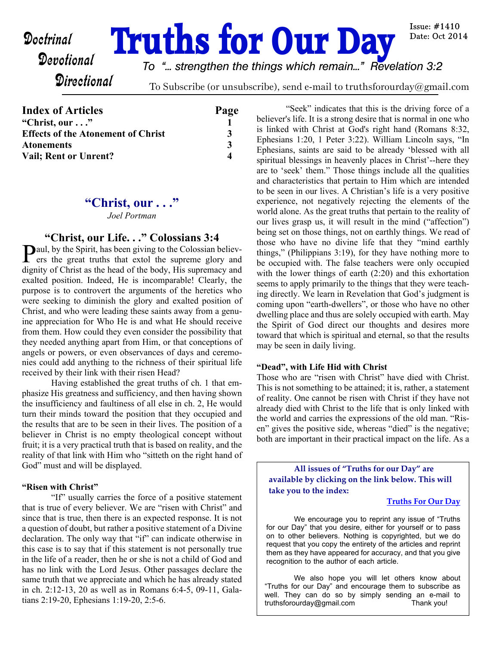# **Doctrinal Truths for Our Day**

*To "... strengthen the things which remain..." Revelation 3:2*

**Directional** 

To Subscribe (or unsubscribe), send e-mail to truthsforourday@gmail.com

| <b>Index of Articles</b>                  | Page |
|-------------------------------------------|------|
| "Christ, our"                             |      |
| <b>Effects of the Atonement of Christ</b> | 3    |
| <b>Atonements</b>                         | 3    |
| <b>Vail</b> ; Rent or Unrent?             |      |

# **"Christ, our . . ."**

*Joel Portman*

## **"Christ, our Life. . ." Colossians 3:4**

 $\sum$  aul, by the Spirit, has been giving to the Colossian believers the great truths that extol the supreme glory and ers the great truths that extol the supreme glory and dignity of Christ as the head of the body, His supremacy and exalted position. Indeed, He is incomparable! Clearly, the purpose is to controvert the arguments of the heretics who were seeking to diminish the glory and exalted position of Christ, and who were leading these saints away from a genuine appreciation for Who He is and what He should receive from them. How could they even consider the possibility that they needed anything apart from Him, or that conceptions of angels or powers, or even observances of days and ceremonies could add anything to the richness of their spiritual life received by their link with their risen Head?

 Having established the great truths of ch. 1 that emphasize His greatness and sufficiency, and then having shown the insufficiency and faultiness of all else in ch. 2, He would turn their minds toward the position that they occupied and the results that are to be seen in their lives. The position of a believer in Christ is no empty theological concept without fruit; it is a very practical truth that is based on reality, and the reality of that link with Him who "sitteth on the right hand of God" must and will be displayed.

#### **"Risen with Christ"**

 "If" usually carries the force of a positive statement that is true of every believer. We are "risen with Christ" and since that is true, then there is an expected response. It is not a question of doubt, but rather a positive statement of a Divine declaration. The only way that "if" can indicate otherwise in this case is to say that if this statement is not personally true in the life of a reader, then he or she is not a child of God and has no link with the Lord Jesus. Other passages declare the same truth that we appreciate and which he has already stated in ch. 2:12-13, 20 as well as in Romans 6:4-5, 09-11, Galatians 2:19-20, Ephesians 1:19-20, 2:5-6.

 "Seek" indicates that this is the driving force of a believer's life. It is a strong desire that is normal in one who is linked with Christ at God's right hand (Romans 8:32, Ephesians 1:20, 1 Peter 3:22). William Lincoln says, "In Ephesians, saints are said to be already 'blessed with all spiritual blessings in heavenly places in Christ'--here they are to 'seek' them." Those things include all the qualities and characteristics that pertain to Him which are intended to be seen in our lives. A Christian's life is a very positive experience, not negatively rejecting the elements of the world alone. As the great truths that pertain to the reality of our lives grasp us, it will result in the mind ("affection") being set on those things, not on earthly things. We read of those who have no divine life that they "mind earthly things," (Philippians 3:19), for they have nothing more to be occupied with. The false teachers were only occupied with the lower things of earth (2:20) and this exhortation seems to apply primarily to the things that they were teaching directly. We learn in Revelation that God's judgment is coming upon "earth-dwellers", or those who have no other dwelling place and thus are solely occupied with earth. May the Spirit of God direct our thoughts and desires more toward that which is spiritual and eternal, so that the results may be seen in daily living.

#### **"Dead", with Life Hid with Christ**

Those who are "risen with Christ" have died with Christ. This is not something to be attained; it is, rather, a statement of reality. One cannot be risen with Christ if they have not already died with Christ to the life that is only linked with the world and carries the expressions of the old man. "Risen" gives the positive side, whereas "died" is the negative; both are important in their practical impact on the life. As a

**All issues of "Truths for our Day" are available by clicking on the link below. This will take you to the index:**

#### **[Truths For Our Day](http://truthsforourday.com)**

Issue:  $\#1410$ Date: Oct 2014

 We encourage you to reprint any issue of "Truths for our Day" that you desire, either for yourself or to pass on to other believers. Nothing is copyrighted, but we do request that you copy the entirety of the articles and reprint them as they have appeared for accuracy, and that you give recognition to the author of each article.

 We also hope you will let others know about "Truths for our Day" and encourage them to subscribe as well. They can do so by simply sending an e-mail to truthsforourday@gmail.com Thank you!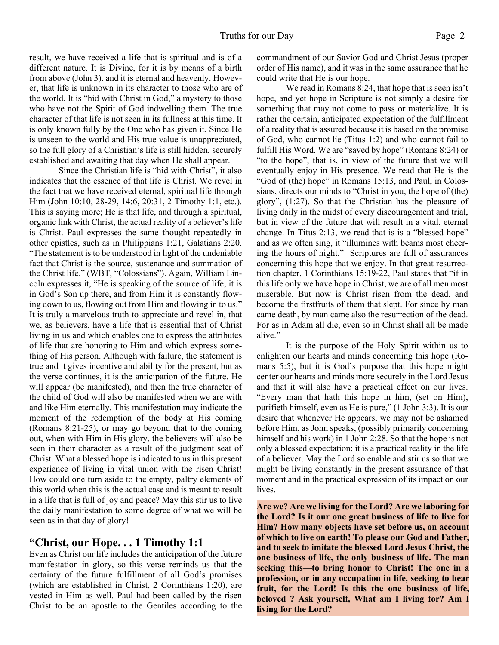result, we have received a life that is spiritual and is of a different nature. It is Divine, for it is by means of a birth from above (John 3). and it is eternal and heavenly. However, that life is unknown in its character to those who are of the world. It is "hid with Christ in God," a mystery to those who have not the Spirit of God indwelling them. The true character of that life is not seen in its fullness at this time. It is only known fully by the One who has given it. Since He is unseen to the world and His true value is unappreciated, so the full glory of a Christian's life is still hidden, securely established and awaiting that day when He shall appear.

 Since the Christian life is "hid with Christ", it also indicates that the essence of that life is Christ. We revel in the fact that we have received eternal, spiritual life through Him (John 10:10, 28-29, 14:6, 20:31, 2 Timothy 1:1, etc.). This is saying more; He is that life, and through a spiritual, organic link with Christ, the actual reality of a believer's life is Christ. Paul expresses the same thought repeatedly in other epistles, such as in Philippians 1:21, Galatians 2:20. "The statement is to be understood in light of the undeniable fact that Christ is the source, sustenance and summation of the Christ life." (WBT, "Colossians"). Again, William Lincoln expresses it, "He is speaking of the source of life; it is in God's Son up there, and from Him it is constantly flowing down to us, flowing out from Him and flowing in to us." It is truly a marvelous truth to appreciate and revel in, that we, as believers, have a life that is essential that of Christ living in us and which enables one to express the attributes of life that are honoring to Him and which express something of His person. Although with failure, the statement is true and it gives incentive and ability for the present, but as the verse continues, it is the anticipation of the future. He will appear (be manifested), and then the true character of the child of God will also be manifested when we are with and like Him eternally. This manifestation may indicate the moment of the redemption of the body at His coming (Romans 8:21-25), or may go beyond that to the coming out, when with Him in His glory, the believers will also be seen in their character as a result of the judgment seat of Christ. What a blessed hope is indicated to us in this present experience of living in vital union with the risen Christ! How could one turn aside to the empty, paltry elements of this world when this is the actual case and is meant to result in a life that is full of joy and peace? May this stir us to live the daily manifestation to some degree of what we will be seen as in that day of glory!

## **"Christ, our Hope. . . 1 Timothy 1:1**

Even as Christ our life includes the anticipation of the future manifestation in glory, so this verse reminds us that the certainty of the future fulfillment of all God's promises (which are established in Christ, 2 Corinthians 1:20), are vested in Him as well. Paul had been called by the risen Christ to be an apostle to the Gentiles according to the commandment of our Savior God and Christ Jesus (proper order of His name), and it was in the same assurance that he could write that He is our hope.

 We read in Romans 8:24, that hope that is seen isn't hope, and yet hope in Scripture is not simply a desire for something that may not come to pass or materialize. It is rather the certain, anticipated expectation of the fulfillment of a reality that is assured because it is based on the promise of God, who cannot lie (Titus 1:2) and who cannot fail to fulfill His Word. We are "saved by hope" (Romans 8:24) or "to the hope", that is, in view of the future that we will eventually enjoy in His presence. We read that He is the "God of (the) hope" in Romans 15:13, and Paul, in Colossians, directs our minds to "Christ in you, the hope of (the) glory", (1:27). So that the Christian has the pleasure of living daily in the midst of every discouragement and trial, but in view of the future that will result in a vital, eternal change. In Titus 2:13, we read that is is a "blessed hope" and as we often sing, it "illumines with beams most cheering the hours of night." Scriptures are full of assurances concerning this hope that we enjoy. In that great resurrection chapter, 1 Corinthians 15:19-22, Paul states that "if in this life only we have hope in Christ, we are of all men most miserable. But now is Christ risen from the dead, and become the firstfruits of them that slept. For since by man came death, by man came also the resurrection of the dead. For as in Adam all die, even so in Christ shall all be made alive."

 It is the purpose of the Holy Spirit within us to enlighten our hearts and minds concerning this hope (Romans 5:5), but it is God's purpose that this hope might center our hearts and minds more securely in the Lord Jesus and that it will also have a practical effect on our lives. "Every man that hath this hope in him, (set on Him), purifieth himself, even as He is pure," (1 John 3:3). It is our desire that whenever He appears, we may not be ashamed before Him, as John speaks, (possibly primarily concerning himself and his work) in 1 John 2:28. So that the hope is not only a blessed expectation; it is a practical reality in the life of a believer. May the Lord so enable and stir us so that we might be living constantly in the present assurance of that moment and in the practical expression of its impact on our lives.

**Are we? Are we living for the Lord? Are we laboring for the Lord? Is it our one great business of life to live for Him? How many objects have set before us, on account of which to live on earth! To please our God and Father, and to seek to imitate the blessed Lord Jesus Christ, the one business of life, the only business of life. The man seeking this—to bring honor to Christ! The one in a profession, or in any occupation in life, seeking to bear fruit, for the Lord! Is this the one business of life, beloved ? Ask yourself, What am I living for? Am I living for the Lord?**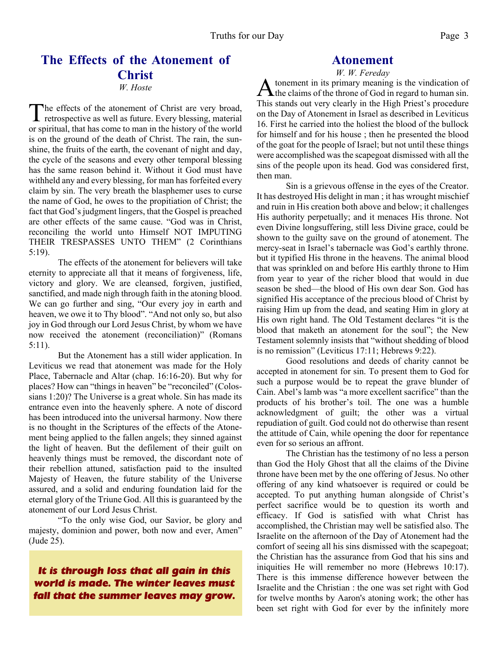# **The Effects of the Atonement of Christ**

*W. Hoste*

The effects of the atonement of Christ are very broad,<br>retrospective as well as future. Every blessing, material he effects of the atonement of Christ are very broad, or spiritual, that has come to man in the history of the world is on the ground of the death of Christ. The rain, the sunshine, the fruits of the earth, the covenant of night and day, the cycle of the seasons and every other temporal blessing has the same reason behind it. Without it God must have withheld any and every blessing, for man has forfeited every claim by sin. The very breath the blasphemer uses to curse the name of God, he owes to the propitiation of Christ; the fact that God's judgment lingers, that the Gospel is preached are other effects of the same cause. "God was in Christ, reconciling the world unto Himself NOT IMPUTING THEIR TRESPASSES UNTO THEM" (2 Corinthians 5:19).

The effects of the atonement for believers will take eternity to appreciate all that it means of forgiveness, life, victory and glory. We are cleansed, forgiven, justified, sanctified, and made nigh through faith in the atoning blood. We can go further and sing, "Our every joy in earth and heaven, we owe it to Thy blood". "And not only so, but also joy in God through our Lord Jesus Christ, by whom we have now received the atonement (reconciliation)" (Romans 5:11).

But the Atonement has a still wider application. In Leviticus we read that atonement was made for the Holy Place, Tabernacle and Altar (chap. 16:16-20). But why for places? How can "things in heaven" be "reconciled" (Colossians 1:20)? The Universe is a great whole. Sin has made its entrance even into the heavenly sphere. A note of discord has been introduced into the universal harmony. Now there is no thought in the Scriptures of the effects of the Atonement being applied to the fallen angels; they sinned against the light of heaven. But the defilement of their guilt on heavenly things must be removed, the discordant note of their rebellion attuned, satisfaction paid to the insulted Majesty of Heaven, the future stability of the Universe assured, and a solid and enduring foundation laid for the eternal glory of the Triune God. All this is guaranteed by the atonement of our Lord Jesus Christ.

"To the only wise God, our Savior, be glory and majesty, dominion and power, both now and ever, Amen" (Jude 25).

# *It is through loss that all gain in this world is made. The winter leaves must fall that the summer leaves may grow.*

# **Atonement**

*W. W. Fereday* A tonement in its primary meaning is the vindication of<br>the claims of the throne of God in regard to human sin. tonement in its primary meaning is the vindication of This stands out very clearly in the High Priest's procedure on the Day of Atonement in Israel as described in Leviticus 16. First he carried into the holiest the blood of the bullock for himself and for his house ; then he presented the blood of the goat for the people of Israel; but not until these things were accomplished was the scapegoat dismissed with all the sins of the people upon its head. God was considered first, then man.

Sin is a grievous offense in the eyes of the Creator. It has destroyed His delight in man ; it has wrought mischief and ruin in His creation both above and below; it challenges His authority perpetually; and it menaces His throne. Not even Divine longsuffering, still less Divine grace, could be shown to the guilty save on the ground of atonement. The mercy-seat in Israel's tabernacle was God's earthly throne. but it typified His throne in the heavens. The animal blood that was sprinkled on and before His earthly throne to Him from year to year of the richer blood that would in due season be shed—the blood of His own dear Son. God has signified His acceptance of the precious blood of Christ by raising Him up from the dead, and seating Him in glory at His own right hand. The Old Testament declares "it is the blood that maketh an atonement for the soul"; the New Testament solemnly insists that "without shedding of blood is no remission" (Leviticus 17:11; Hebrews 9:22).

Good resolutions and deeds of charity cannot be accepted in atonement for sin. To present them to God for such a purpose would be to repeat the grave blunder of Cain. Abel's lamb was "a more excellent sacrifice" than the products of his brother's toil. The one was a humble acknowledgment of guilt; the other was a virtual repudiation of guilt. God could not do otherwise than resent the attitude of Cain, while opening the door for repentance even for so serious an affront.

The Christian has the testimony of no less a person than God the Holy Ghost that all the claims of the Divine throne have been met by the one offering of Jesus. No other offering of any kind whatsoever is required or could be accepted. To put anything human alongside of Christ's perfect sacrifice would be to question its worth and efficacy. If God is satisfied with what Christ has accomplished, the Christian may well be satisfied also. The Israelite on the afternoon of the Day of Atonement had the comfort of seeing all his sins dismissed with the scapegoat; the Christian has the assurance from God that his sins and iniquities He will remember no more (Hebrews 10:17). There is this immense difference however between the Israelite and the Christian : the one was set right with God for twelve months by Aaron's atoning work; the other has been set right with God for ever by the infinitely more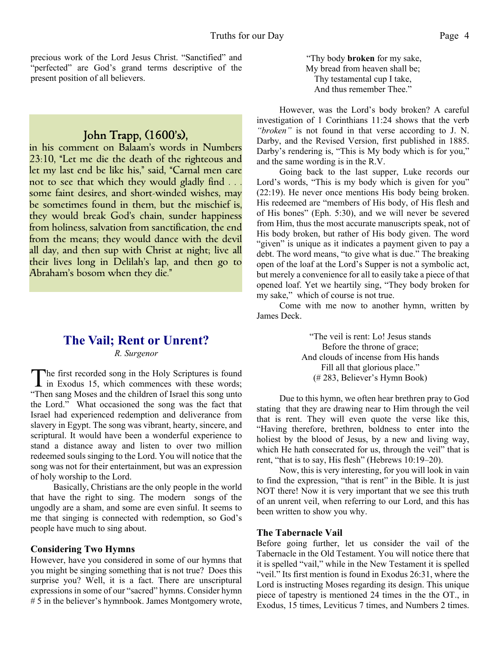precious work of the Lord Jesus Christ. "Sanctified" and "perfected" are God's grand terms descriptive of the present position of all believers.

# John Trapp,  $(1600's)$ ,

in his comment on Balaam's words in Numbers 23:10, "Let me die the death of the righteous and let my last end be like his," said, "Carnal men care not to see that which they would gladly find . . . some faint desires, and short-winded wishes, may be sometimes found in them, but the mischief is, they would break God's chain, sunder happiness from holiness, salvation from sanctification, the end from the means; they would dance with the devil all day, and then sup with Christ at night; live all their lives long in Delilah's lap, and then go to Abraham's bosom when they die."

# **The Vail; Rent or Unrent?** *R. Surgenor*

The first recorded song in the Holy Scriptures is found<br>in Exodus 15, which commences with these words; in Exodus 15, which commences with these words; "Then sang Moses and the children of Israel this song unto the Lord." What occasioned the song was the fact that Israel had experienced redemption and deliverance from slavery in Egypt. The song was vibrant, hearty, sincere, and scriptural. It would have been a wonderful experience to stand a distance away and listen to over two million redeemed souls singing to the Lord. You will notice that the song was not for their entertainment, but was an expression of holy worship to the Lord.

Basically, Christians are the only people in the world that have the right to sing. The modern songs of the ungodly are a sham, and some are even sinful. It seems to me that singing is connected with redemption, so God's people have much to sing about.

#### **Considering Two Hymns**

However, have you considered in some of our hymns that you might be singing something that is not true? Does this surprise you? Well, it is a fact. There are unscriptural expressions in some of our "sacred" hymns. Consider hymn # 5 in the believer's hymnbook. James Montgomery wrote, "Thy body **broken** for my sake, My bread from heaven shall be; Thy testamental cup I take, And thus remember Thee."

However, was the Lord's body broken? A careful investigation of 1 Corinthians 11:24 shows that the verb *"broken"* is not found in that verse according to J. N. Darby, and the Revised Version, first published in 1885. Darby's rendering is, "This is My body which is for you," and the same wording is in the R.V.

Going back to the last supper, Luke records our Lord's words, "This is my body which is given for you" (22:19). He never once mentions His body being broken. His redeemed are "members of His body, of His flesh and of His bones" (Eph. 5:30), and we will never be severed from Him, thus the most accurate manuscripts speak, not of His body broken, but rather of His body given. The word "given" is unique as it indicates a payment given to pay a debt. The word means, "to give what is due." The breaking open of the loaf at the Lord's Supper is not a symbolic act, but merely a convenience for all to easily take a piece of that opened loaf. Yet we heartily sing, "They body broken for my sake," which of course is not true.

Come with me now to another hymn, written by James Deck.

> "The veil is rent: Lo! Jesus stands Before the throne of grace; And clouds of incense from His hands Fill all that glorious place." (# 283, Believer's Hymn Book)

Due to this hymn, we often hear brethren pray to God stating that they are drawing near to Him through the veil that is rent. They will even quote the verse like this, "Having therefore, brethren, boldness to enter into the holiest by the blood of Jesus, by a new and living way, which He hath consecrated for us, through the veil" that is rent, "that is to say, His flesh" (Hebrews 10:19–20).

Now, this is very interesting, for you will look in vain to find the expression, "that is rent" in the Bible. It is just NOT there! Now it is very important that we see this truth of an unrent veil, when referring to our Lord, and this has been written to show you why.

#### **The Tabernacle Vail**

Before going further, let us consider the vail of the Tabernacle in the Old Testament. You will notice there that it is spelled "vail," while in the New Testament it is spelled "veil." Its first mention is found in Exodus 26:31, where the Lord is instructing Moses regarding its design. This unique piece of tapestry is mentioned 24 times in the the OT., in Exodus, 15 times, Leviticus 7 times, and Numbers 2 times.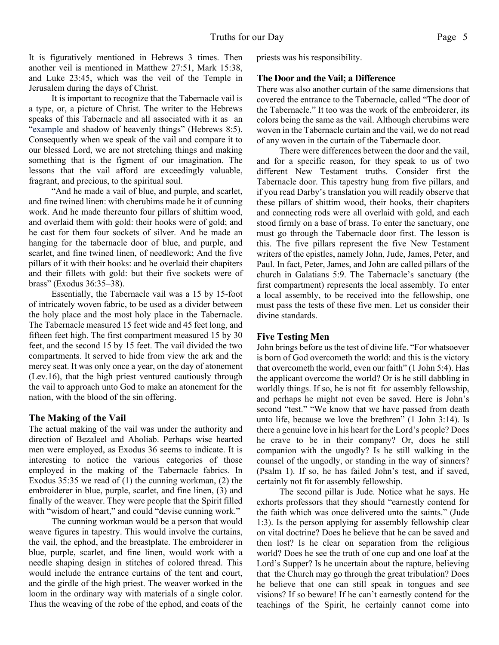It is figuratively mentioned in Hebrews 3 times. Then another veil is mentioned in Matthew 27:51, Mark 15:38, and Luke 23:45, which was the veil of the Temple in Jerusalem during the days of Christ.

It is important to recognize that the Tabernacle vail is a type, or, a picture of Christ. The writer to the Hebrews speaks of this Tabernacle and all associated with it as an "example and shadow of heavenly things" (Hebrews 8:5). Consequently when we speak of the vail and compare it to our blessed Lord, we are not stretching things and making something that is the figment of our imagination. The lessons that the vail afford are exceedingly valuable, fragrant, and precious, to the spiritual soul.

"And he made a vail of blue, and purple, and scarlet, and fine twined linen: with cherubims made he it of cunning work. And he made thereunto four pillars of shittim wood, and overlaid them with gold: their hooks were of gold; and he cast for them four sockets of silver. And he made an hanging for the tabernacle door of blue, and purple, and scarlet, and fine twined linen, of needlework; And the five pillars of it with their hooks: and he overlaid their chapiters and their fillets with gold: but their five sockets were of brass" (Exodus 36:35–38).

Essentially, the Tabernacle vail was a 15 by 15-foot of intricately woven fabric, to be used as a divider between the holy place and the most holy place in the Tabernacle. The Tabernacle measured 15 feet wide and 45 feet long, and fifteen feet high. The first compartment measured 15 by 30 feet, and the second 15 by 15 feet. The vail divided the two compartments. It served to hide from view the ark and the mercy seat. It was only once a year, on the day of atonement (Lev.16), that the high priest ventured cautiously through the vail to approach unto God to make an atonement for the nation, with the blood of the sin offering.

#### **The Making of the Vail**

The actual making of the vail was under the authority and direction of Bezaleel and Aholiab. Perhaps wise hearted men were employed, as Exodus 36 seems to indicate. It is interesting to notice the various categories of those employed in the making of the Tabernacle fabrics. In Exodus 35:35 we read of (1) the cunning workman, (2) the embroiderer in blue, purple, scarlet, and fine linen, (3) and finally of the weaver. They were people that the Spirit filled with "wisdom of heart," and could "devise cunning work."

The cunning workman would be a person that would weave figures in tapestry. This would involve the curtains, the vail, the ephod, and the breastplate. The embroiderer in blue, purple, scarlet, and fine linen, would work with a needle shaping design in stitches of colored thread. This would include the entrance curtains of the tent and court, and the girdle of the high priest. The weaver worked in the loom in the ordinary way with materials of a single color. Thus the weaving of the robe of the ephod, and coats of the priests was his responsibility.

#### **The Door and the Vail; a Difference**

There was also another curtain of the same dimensions that covered the entrance to the Tabernacle, called "The door of the Tabernacle." It too was the work of the embroiderer, its colors being the same as the vail. Although cherubims were woven in the Tabernacle curtain and the vail, we do not read of any woven in the curtain of the Tabernacle door.

There were differences between the door and the vail, and for a specific reason, for they speak to us of two different New Testament truths. Consider first the Tabernacle door. This tapestry hung from five pillars, and if you read Darby's translation you will readily observe that these pillars of shittim wood, their hooks, their chapiters and connecting rods were all overlaid with gold, and each stood firmly on a base of brass. To enter the sanctuary, one must go through the Tabernacle door first. The lesson is this. The five pillars represent the five New Testament writers of the epistles, namely John, Jude, James, Peter, and Paul. In fact, Peter, James, and John are called pillars of the church in Galatians 5:9. The Tabernacle's sanctuary (the first compartment) represents the local assembly. To enter a local assembly, to be received into the fellowship, one must pass the tests of these five men. Let us consider their divine standards.

#### **Five Testing Men**

John brings before us the test of divine life. "For whatsoever is born of God overcometh the world: and this is the victory that overcometh the world, even our faith" (1 John 5:4). Has the applicant overcome the world? Or is he still dabbling in worldly things. If so, he is not fit for assembly fellowship, and perhaps he might not even be saved. Here is John's second "test." "We know that we have passed from death unto life, because we love the brethren" (1 John 3:14). Is there a genuine love in his heart for the Lord's people? Does he crave to be in their company? Or, does he still companion with the ungodly? Is he still walking in the counsel of the ungodly, or standing in the way of sinners? (Psalm 1). If so, he has failed John's test, and if saved, certainly not fit for assembly fellowship.

The second pillar is Jude. Notice what he says. He exhorts professors that they should "earnestly contend for the faith which was once delivered unto the saints." (Jude 1:3). Is the person applying for assembly fellowship clear on vital doctrine? Does he believe that he can be saved and then lost? Is he clear on separation from the religious world? Does he see the truth of one cup and one loaf at the Lord's Supper? Is he uncertain about the rapture, believing that the Church may go through the great tribulation? Does he believe that one can still speak in tongues and see visions? If so beware! If he can't earnestly contend for the teachings of the Spirit, he certainly cannot come into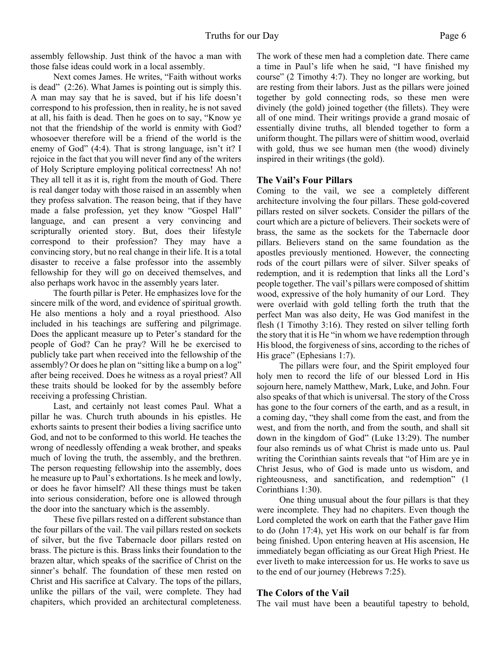assembly fellowship. Just think of the havoc a man with those false ideas could work in a local assembly.

Next comes James. He writes, "Faith without works is dead" (2:26). What James is pointing out is simply this. A man may say that he is saved, but if his life doesn't correspond to his profession, then in reality, he is not saved at all, his faith is dead. Then he goes on to say, "Know ye not that the friendship of the world is enmity with God? whosoever therefore will be a friend of the world is the enemy of God" (4:4). That is strong language, isn't it? I rejoice in the fact that you will never find any of the writers of Holy Scripture employing political correctness! Ah no! They all tell it as it is, right from the mouth of God. There is real danger today with those raised in an assembly when they profess salvation. The reason being, that if they have made a false profession, yet they know "Gospel Hall" language, and can present a very convincing and scripturally oriented story. But, does their lifestyle correspond to their profession? They may have a convincing story, but no real change in their life. It is a total disaster to receive a false professor into the assembly fellowship for they will go on deceived themselves, and also perhaps work havoc in the assembly years later.

The fourth pillar is Peter. He emphasizes love for the sincere milk of the word, and evidence of spiritual growth. He also mentions a holy and a royal priesthood. Also included in his teachings are suffering and pilgrimage. Does the applicant measure up to Peter's standard for the people of God? Can he pray? Will he be exercised to publicly take part when received into the fellowship of the assembly? Or does he plan on "sitting like a bump on a log" after being received. Does he witness as a royal priest? All these traits should be looked for by the assembly before receiving a professing Christian.

Last, and certainly not least comes Paul. What a pillar he was. Church truth abounds in his epistles. He exhorts saints to present their bodies a living sacrifice unto God, and not to be conformed to this world. He teaches the wrong of needlessly offending a weak brother, and speaks much of loving the truth, the assembly, and the brethren. The person requesting fellowship into the assembly, does he measure up to Paul's exhortations. Is he meek and lowly, or does he favor himself? All these things must be taken into serious consideration, before one is allowed through the door into the sanctuary which is the assembly.

These five pillars rested on a different substance than the four pillars of the vail. The vail pillars rested on sockets of silver, but the five Tabernacle door pillars rested on brass. The picture is this. Brass links their foundation to the brazen altar, which speaks of the sacrifice of Christ on the sinner's behalf. The foundation of these men rested on Christ and His sacrifice at Calvary. The tops of the pillars, unlike the pillars of the vail, were complete. They had chapiters, which provided an architectural completeness. The work of these men had a completion date. There came a time in Paul's life when he said, "I have finished my course" (2 Timothy 4:7). They no longer are working, but are resting from their labors. Just as the pillars were joined together by gold connecting rods, so these men were divinely (the gold) joined together (the fillets). They were all of one mind. Their writings provide a grand mosaic of essentially divine truths, all blended together to form a uniform thought. The pillars were of shittim wood, overlaid with gold, thus we see human men (the wood) divinely inspired in their writings (the gold).

#### **The Vail's Four Pillars**

Coming to the vail, we see a completely different architecture involving the four pillars. These gold-covered pillars rested on silver sockets. Consider the pillars of the court which are a picture of believers. Their sockets were of brass, the same as the sockets for the Tabernacle door pillars. Believers stand on the same foundation as the apostles previously mentioned. However, the connecting rods of the court pillars were of silver. Silver speaks of redemption, and it is redemption that links all the Lord's people together. The vail's pillars were composed of shittim wood, expressive of the holy humanity of our Lord. They were overlaid with gold telling forth the truth that the perfect Man was also deity, He was God manifest in the flesh (1 Timothy 3:16). They rested on silver telling forth the story that it is He "in whom we have redemption through His blood, the forgiveness of sins, according to the riches of His grace" (Ephesians 1:7).

The pillars were four, and the Spirit employed four holy men to record the life of our blessed Lord in His sojourn here, namely Matthew, Mark, Luke, and John. Four also speaks of that which is universal. The story of the Cross has gone to the four corners of the earth, and as a result, in a coming day, "they shall come from the east, and from the west, and from the north, and from the south, and shall sit down in the kingdom of God" (Luke 13:29). The number four also reminds us of what Christ is made unto us. Paul writing the Corinthian saints reveals that "of Him are ye in Christ Jesus, who of God is made unto us wisdom, and righteousness, and sanctification, and redemption" (1 Corinthians 1:30).

One thing unusual about the four pillars is that they were incomplete. They had no chapiters. Even though the Lord completed the work on earth that the Father gave Him to do (John 17:4), yet His work on our behalf is far from being finished. Upon entering heaven at His ascension, He immediately began officiating as our Great High Priest. He ever liveth to make intercession for us. He works to save us to the end of our journey (Hebrews 7:25).

#### **The Colors of the Vail**

The vail must have been a beautiful tapestry to behold,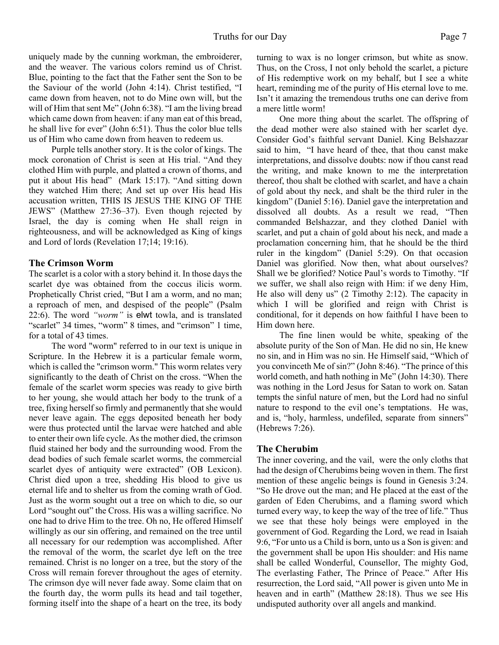uniquely made by the cunning workman, the embroiderer, and the weaver. The various colors remind us of Christ. Blue, pointing to the fact that the Father sent the Son to be the Saviour of the world (John 4:14). Christ testified, "I came down from heaven, not to do Mine own will, but the will of Him that sent Me" (John 6:38). "I am the living bread which came down from heaven: if any man eat of this bread, he shall live for ever" (John 6:51). Thus the color blue tells us of Him who came down from heaven to redeem us.

Purple tells another story. It is the color of kings. The mock coronation of Christ is seen at His trial. "And they clothed Him with purple, and platted a crown of thorns, and put it about His head" (Mark 15:17). "And sitting down they watched Him there; And set up over His head His accusation written, THIS IS JESUS THE KING OF THE JEWS" (Matthew 27:36–37). Even though rejected by Israel, the day is coming when He shall reign in righteousness, and will be acknowledged as King of kings and Lord of lords (Revelation 17;14; 19:16).

#### **The Crimson Worm**

The scarlet is a color with a story behind it. In those days the scarlet dye was obtained from the coccus ilicis worm. Prophetically Christ cried, "But I am a worm, and no man; a reproach of men, and despised of the people" (Psalm 22:6). The word *"worm"* is elwt towla, and is translated "scarlet" 34 times, "worm" 8 times, and "crimson" 1 time, for a total of 43 times.

The word "worm" referred to in our text is unique in Scripture. In the Hebrew it is a particular female worm, which is called the "crimson worm." This worm relates very significantly to the death of Christ on the cross. "When the female of the scarlet worm species was ready to give birth to her young, she would attach her body to the trunk of a tree, fixing herself so firmly and permanently that she would never leave again. The eggs deposited beneath her body were thus protected until the larvae were hatched and able to enter their own life cycle. As the mother died, the crimson fluid stained her body and the surrounding wood. From the dead bodies of such female scarlet worms, the commercial scarlet dyes of antiquity were extracted" (OB Lexicon). Christ died upon a tree, shedding His blood to give us eternal life and to shelter us from the coming wrath of God. Just as the worm sought out a tree on which to die, so our Lord "sought out" the Cross. His was a willing sacrifice. No one had to drive Him to the tree. Oh no, He offered Himself willingly as our sin offering, and remained on the tree until all necessary for our redemption was accomplished. After the removal of the worm, the scarlet dye left on the tree remained. Christ is no longer on a tree, but the story of the Cross will remain forever throughout the ages of eternity. The crimson dye will never fade away. Some claim that on the fourth day, the worm pulls its head and tail together, forming itself into the shape of a heart on the tree, its body

turning to wax is no longer crimson, but white as snow. Thus, on the Cross, I not only behold the scarlet, a picture of His redemptive work on my behalf, but I see a white heart, reminding me of the purity of His eternal love to me. Isn't it amazing the tremendous truths one can derive from a mere little worm!

One more thing about the scarlet. The offspring of the dead mother were also stained with her scarlet dye. Consider God's faithful servant Daniel. King Belshazzar said to him, "I have heard of thee, that thou canst make interpretations, and dissolve doubts: now if thou canst read the writing, and make known to me the interpretation thereof, thou shalt be clothed with scarlet, and have a chain of gold about thy neck, and shalt be the third ruler in the kingdom" (Daniel 5:16). Daniel gave the interpretation and dissolved all doubts. As a result we read, "Then commanded Belshazzar, and they clothed Daniel with scarlet, and put a chain of gold about his neck, and made a proclamation concerning him, that he should be the third ruler in the kingdom" (Daniel 5:29). On that occasion Daniel was glorified. Now then, what about ourselves? Shall we be glorified? Notice Paul's words to Timothy. "If we suffer, we shall also reign with Him: if we deny Him, He also will deny us" (2 Timothy 2:12). The capacity in which I will be glorified and reign with Christ is conditional, for it depends on how faithful I have been to Him down here.

The fine linen would be white, speaking of the absolute purity of the Son of Man. He did no sin, He knew no sin, and in Him was no sin. He Himself said, "Which of you convinceth Me of sin?" (John 8:46). "The prince of this world cometh, and hath nothing in Me" (John 14:30). There was nothing in the Lord Jesus for Satan to work on. Satan tempts the sinful nature of men, but the Lord had no sinful nature to respond to the evil one's temptations. He was, and is, "holy, harmless, undefiled, separate from sinners" (Hebrews 7:26).

#### **The Cherubim**

The inner covering, and the vail, were the only cloths that had the design of Cherubims being woven in them. The first mention of these angelic beings is found in Genesis 3:24. "So He drove out the man; and He placed at the east of the garden of Eden Cherubims, and a flaming sword which turned every way, to keep the way of the tree of life." Thus we see that these holy beings were employed in the government of God. Regarding the Lord, we read in Isaiah 9:6, "For unto us a Child is born, unto us a Son is given: and the government shall be upon His shoulder: and His name shall be called Wonderful, Counsellor, The mighty God, The everlasting Father, The Prince of Peace." After His resurrection, the Lord said, "All power is given unto Me in heaven and in earth" (Matthew 28:18). Thus we see His undisputed authority over all angels and mankind.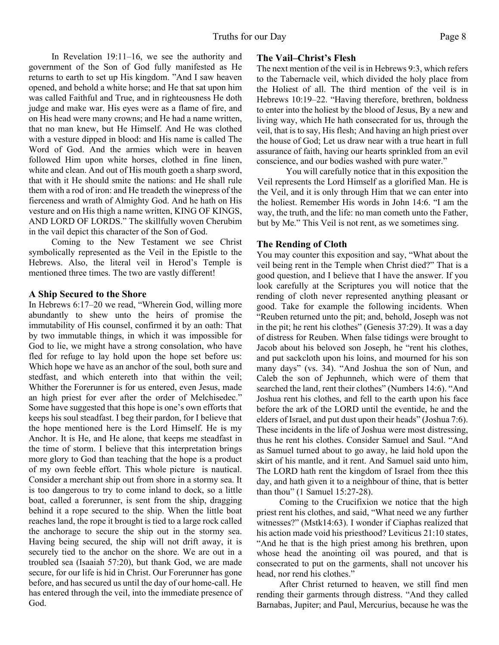In Revelation 19:11–16, we see the authority and government of the Son of God fully manifested as He returns to earth to set up His kingdom. "And I saw heaven opened, and behold a white horse; and He that sat upon him was called Faithful and True, and in righteousness He doth judge and make war. His eyes were as a flame of fire, and on His head were many crowns; and He had a name written, that no man knew, but He Himself. And He was clothed with a vesture dipped in blood: and His name is called The Word of God. And the armies which were in heaven followed Him upon white horses, clothed in fine linen, white and clean. And out of His mouth goeth a sharp sword, that with it He should smite the nations: and He shall rule them with a rod of iron: and He treadeth the winepress of the fierceness and wrath of Almighty God. And he hath on His vesture and on His thigh a name written, KING OF KINGS, AND LORD OF LORDS." The skillfully woven Cherubim in the vail depict this character of the Son of God.

Coming to the New Testament we see Christ symbolically represented as the Veil in the Epistle to the Hebrews. Also, the literal veil in Herod's Temple is mentioned three times. The two are vastly different!

#### **A Ship Secured to the Shore**

In Hebrews 6:17–20 we read, "Wherein God, willing more abundantly to shew unto the heirs of promise the immutability of His counsel, confirmed it by an oath: That by two immutable things, in which it was impossible for God to lie, we might have a strong consolation, who have fled for refuge to lay hold upon the hope set before us: Which hope we have as an anchor of the soul, both sure and stedfast, and which entereth into that within the veil; Whither the Forerunner is for us entered, even Jesus, made an high priest for ever after the order of Melchisedec." Some have suggested that this hope is one's own efforts that keeps his soul steadfast. I beg their pardon, for I believe that the hope mentioned here is the Lord Himself. He is my Anchor. It is He, and He alone, that keeps me steadfast in the time of storm. I believe that this interpretation brings more glory to God than teaching that the hope is a product of my own feeble effort. This whole picture is nautical. Consider a merchant ship out from shore in a stormy sea. It is too dangerous to try to come inland to dock, so a little boat, called a forerunner, is sent from the ship, dragging behind it a rope secured to the ship. When the little boat reaches land, the rope it brought is tied to a large rock called the anchorage to secure the ship out in the stormy sea. Having being secured, the ship will not drift away, it is securely tied to the anchor on the shore. We are out in a troubled sea (Isaaiah 57:20), but thank God, we are made secure, for our life is hid in Christ. Our Forerunner has gone before, and has secured us until the day of our home-call. He has entered through the veil, into the immediate presence of God.

# **The Vail–Christ's Flesh**

The next mention of the veil is in Hebrews 9:3, which refers to the Tabernacle veil, which divided the holy place from the Holiest of all. The third mention of the veil is in Hebrews 10:19–22. "Having therefore, brethren, boldness to enter into the holiest by the blood of Jesus, By a new and living way, which He hath consecrated for us, through the veil, that is to say, His flesh; And having an high priest over the house of God; Let us draw near with a true heart in full assurance of faith, having our hearts sprinkled from an evil conscience, and our bodies washed with pure water."

You will carefully notice that in this exposition the Veil represents the Lord Himself as a glorified Man. He is the Veil, and it is only through Him that we can enter into the holiest. Remember His words in John 14:6. "I am the way, the truth, and the life: no man cometh unto the Father, but by Me." This Veil is not rent, as we sometimes sing.

# **The Rending of Cloth**

You may counter this exposition and say, "What about the veil being rent in the Temple when Christ died?" That is a good question, and I believe that I have the answer. If you look carefully at the Scriptures you will notice that the rending of cloth never represented anything pleasant or good. Take for example the following incidents. When "Reuben returned unto the pit; and, behold, Joseph was not in the pit; he rent his clothes" (Genesis 37:29). It was a day of distress for Reuben. When false tidings were brought to Jacob about his beloved son Joseph, he "rent his clothes, and put sackcloth upon his loins, and mourned for his son many days" (vs. 34). "And Joshua the son of Nun, and Caleb the son of Jephunneh, which were of them that searched the land, rent their clothes" (Numbers 14:6). "And Joshua rent his clothes, and fell to the earth upon his face before the ark of the LORD until the eventide, he and the elders of Israel, and put dust upon their heads" (Joshua 7:6). These incidents in the life of Joshua were most distressing, thus he rent his clothes. Consider Samuel and Saul. "And as Samuel turned about to go away, he laid hold upon the skirt of his mantle, and it rent. And Samuel said unto him, The LORD hath rent the kingdom of Israel from thee this day, and hath given it to a neighbour of thine, that is better than thou" (1 Samuel 15:27-28).

Coming to the Crucifixion we notice that the high priest rent his clothes, and said, "What need we any further witnesses?" (Mstk14:63). I wonder if Ciaphas realized that his action made void his priesthood? Leviticus 21:10 states, "And he that is the high priest among his brethren, upon whose head the anointing oil was poured, and that is consecrated to put on the garments, shall not uncover his head, nor rend his clothes."

After Christ returned to heaven, we still find men rending their garments through distress. "And they called Barnabas, Jupiter; and Paul, Mercurius, because he was the